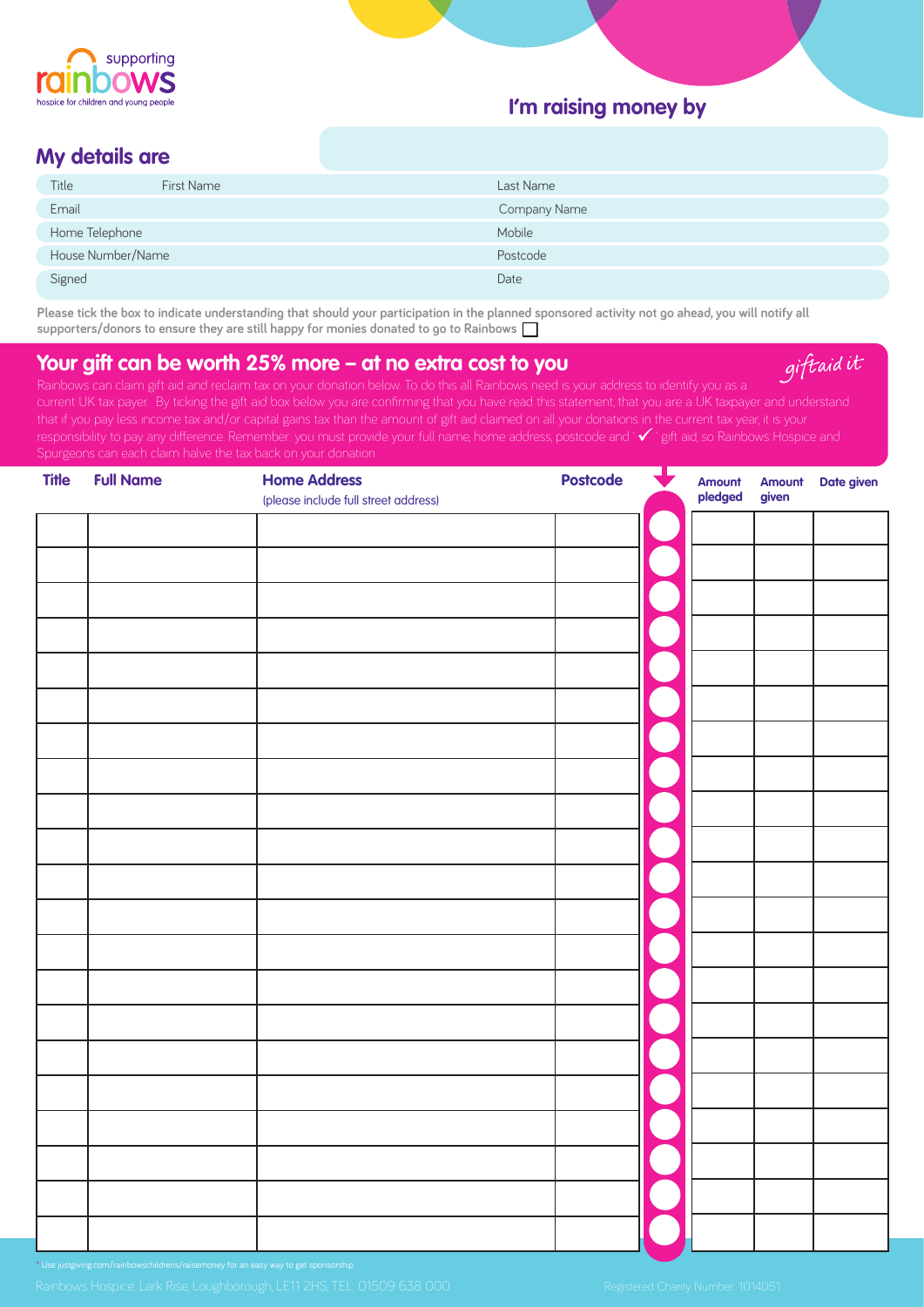

## **I'm raising money by**

### **My details are**

| Title             | <b>First Name</b> | Last Name    |
|-------------------|-------------------|--------------|
| Email             |                   | Company Name |
| Home Telephone    |                   | Mobile       |
| House Number/Name |                   | Postcode     |
| Signed            |                   | Date         |

**Please tick the box to indicate understanding that should your participation in the planned sponsored activity not go ahead, you will notify all supporters/donors to ensure they are still happy for monies donated to go to Rainbows** 

# **Your gift can be worth 25% more – at no extra cost to you**

giftaid it

| <b>Title</b> | <b>Full Name</b> | <b>Home Address</b><br>(please include full street address) | $\bigstar$<br><b>Postcode</b> | Amount<br>pledged | Amount<br>given | Date given |
|--------------|------------------|-------------------------------------------------------------|-------------------------------|-------------------|-----------------|------------|
|              |                  |                                                             |                               |                   |                 |            |
|              |                  |                                                             |                               |                   |                 |            |
|              |                  |                                                             |                               |                   |                 |            |
|              |                  |                                                             |                               |                   |                 |            |
|              |                  |                                                             |                               |                   |                 |            |
|              |                  |                                                             |                               |                   |                 |            |
|              |                  |                                                             |                               |                   |                 |            |
|              |                  |                                                             |                               |                   |                 |            |
|              |                  |                                                             |                               |                   |                 |            |
|              |                  |                                                             |                               |                   |                 |            |
|              |                  |                                                             |                               |                   |                 |            |
|              |                  |                                                             |                               |                   |                 |            |
|              |                  |                                                             |                               |                   |                 |            |
|              |                  |                                                             |                               |                   |                 |            |
|              |                  |                                                             |                               |                   |                 |            |
|              |                  |                                                             |                               |                   |                 |            |
|              |                  |                                                             |                               |                   |                 |            |
|              |                  |                                                             |                               |                   |                 |            |
|              |                  |                                                             |                               |                   |                 |            |
|              |                  |                                                             |                               |                   |                 |            |
|              |                  |                                                             |                               |                   |                 |            |
|              |                  |                                                             |                               |                   |                 |            |
|              |                  |                                                             |                               |                   |                 |            |

\* Use justgiving.com/rainbowschildrens/raisemoney for an easy way to get sponsorship